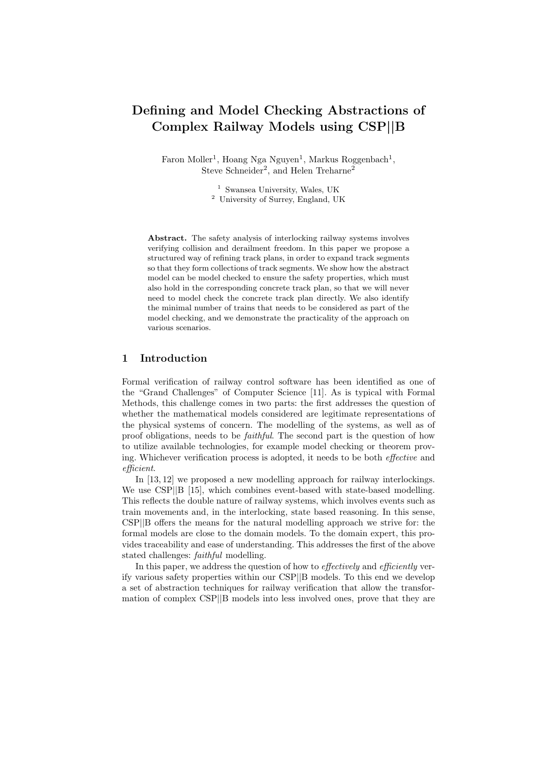# Defining and Model Checking Abstractions of Complex Railway Models using CSP||B

Faron Moller<sup>1</sup>, Hoang Nga Nguyen<sup>1</sup>, Markus Roggenbach<sup>1</sup>, Steve Schneider<sup>2</sup>, and Helen Treharne<sup>2</sup>

> <sup>1</sup> Swansea University, Wales, UK <sup>2</sup> University of Surrey, England, UK

Abstract. The safety analysis of interlocking railway systems involves verifying collision and derailment freedom. In this paper we propose a structured way of refining track plans, in order to expand track segments so that they form collections of track segments. We show how the abstract model can be model checked to ensure the safety properties, which must also hold in the corresponding concrete track plan, so that we will never need to model check the concrete track plan directly. We also identify the minimal number of trains that needs to be considered as part of the model checking, and we demonstrate the practicality of the approach on various scenarios.

# 1 Introduction

Formal verification of railway control software has been identified as one of the "Grand Challenges" of Computer Science [11]. As is typical with Formal Methods, this challenge comes in two parts: the first addresses the question of whether the mathematical models considered are legitimate representations of the physical systems of concern. The modelling of the systems, as well as of proof obligations, needs to be faithful. The second part is the question of how to utilize available technologies, for example model checking or theorem proving. Whichever verification process is adopted, it needs to be both effective and efficient.

In [13, 12] we proposed a new modelling approach for railway interlockings. We use CSP||B [15], which combines event-based with state-based modelling. This reflects the double nature of railway systems, which involves events such as train movements and, in the interlocking, state based reasoning. In this sense, CSP||B offers the means for the natural modelling approach we strive for: the formal models are close to the domain models. To the domain expert, this provides traceability and ease of understanding. This addresses the first of the above stated challenges: faithful modelling.

In this paper, we address the question of how to *effectively* and *efficiently* verify various safety properties within our CSP||B models. To this end we develop a set of abstraction techniques for railway verification that allow the transformation of complex CSP||B models into less involved ones, prove that they are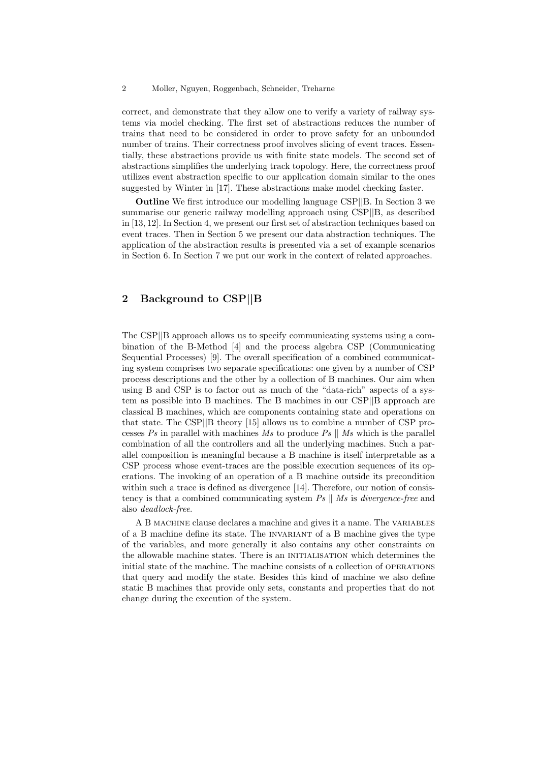correct, and demonstrate that they allow one to verify a variety of railway systems via model checking. The first set of abstractions reduces the number of trains that need to be considered in order to prove safety for an unbounded number of trains. Their correctness proof involves slicing of event traces. Essentially, these abstractions provide us with finite state models. The second set of abstractions simplifies the underlying track topology. Here, the correctness proof utilizes event abstraction specific to our application domain similar to the ones suggested by Winter in [17]. These abstractions make model checking faster.

Outline We first introduce our modelling language CSP||B. In Section 3 we summarise our generic railway modelling approach using CSP||B, as described in [13, 12]. In Section 4, we present our first set of abstraction techniques based on event traces. Then in Section 5 we present our data abstraction techniques. The application of the abstraction results is presented via a set of example scenarios in Section 6. In Section 7 we put our work in the context of related approaches.

# 2 Background to CSP||B

The CSP||B approach allows us to specify communicating systems using a combination of the B-Method [4] and the process algebra CSP (Communicating Sequential Processes) [9]. The overall specification of a combined communicating system comprises two separate specifications: one given by a number of CSP process descriptions and the other by a collection of B machines. Our aim when using B and CSP is to factor out as much of the "data-rich" aspects of a system as possible into B machines. The B machines in our CSP||B approach are classical B machines, which are components containing state and operations on that state. The CSP||B theory [15] allows us to combine a number of CSP processes Ps in parallel with machines Ms to produce Ps  $\parallel$  Ms which is the parallel combination of all the controllers and all the underlying machines. Such a parallel composition is meaningful because a B machine is itself interpretable as a CSP process whose event-traces are the possible execution sequences of its operations. The invoking of an operation of a B machine outside its precondition within such a trace is defined as divergence [14]. Therefore, our notion of consistency is that a combined communicating system  $Ps \parallel Ms$  is divergence-free and also deadlock-free.

A B machine clause declares a machine and gives it a name. The variables of a B machine define its state. The invariant of a B machine gives the type of the variables, and more generally it also contains any other constraints on the allowable machine states. There is an initialisation which determines the initial state of the machine. The machine consists of a collection of OPERATIONS that query and modify the state. Besides this kind of machine we also define static B machines that provide only sets, constants and properties that do not change during the execution of the system.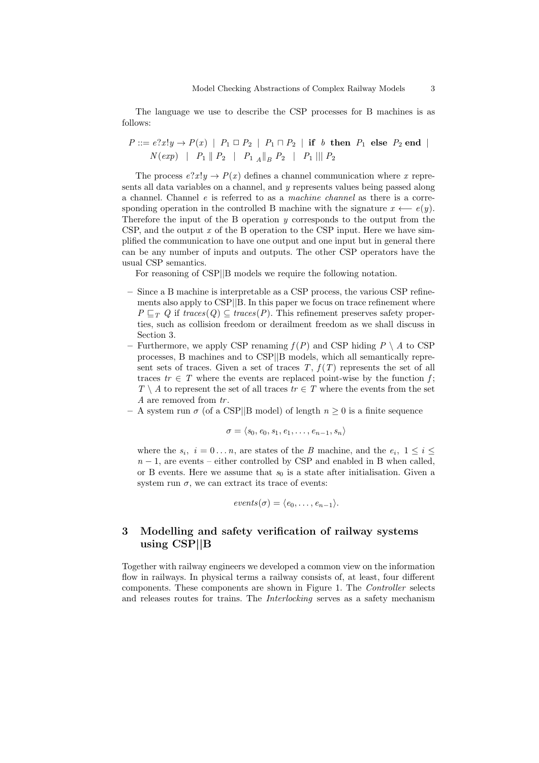The language we use to describe the CSP processes for B machines is as follows:

$$
P ::= e?x!y \rightarrow P(x) | P_1 \square P_2 | P_1 \square P_2 | \text{if } b \text{ then } P_1 \text{ else } P_2 \text{ end } |
$$
  

$$
N(exp) | P_1 || P_2 | P_1 A||_B P_2 | P_1 || | P_2
$$

The process  $e?x!y \rightarrow P(x)$  defines a channel communication where x represents all data variables on a channel, and y represents values being passed along a channel. Channel e is referred to as a machine channel as there is a corresponding operation in the controlled B machine with the signature  $x \leftarrow e(y)$ . Therefore the input of the B operation  $y$  corresponds to the output from the CSP, and the output  $x$  of the B operation to the CSP input. Here we have simplified the communication to have one output and one input but in general there can be any number of inputs and outputs. The other CSP operators have the usual CSP semantics.

For reasoning of CSP||B models we require the following notation.

- Since a B machine is interpretable as a CSP process, the various CSP refinements also apply to CSP||B. In this paper we focus on trace refinement where  $P \sqsubseteq_T Q$  if  $traces(Q) \subseteq traces(P)$ . This refinement preserves safety properties, such as collision freedom or derailment freedom as we shall discuss in Section 3.
- Furthermore, we apply CSP renaming  $f(P)$  and CSP hiding  $P \setminus A$  to CSP processes, B machines and to CSP||B models, which all semantically represent sets of traces. Given a set of traces  $T, f(T)$  represents the set of all traces  $tr \in T$  where the events are replaced point-wise by the function f;  $T \setminus A$  to represent the set of all traces  $tr \in T$  where the events from the set  $A$  are removed from  $tr$ .
- A system run  $\sigma$  (of a CSP||B model) of length  $n \geq 0$  is a finite sequence

$$
\sigma = \langle s_0, e_0, s_1, e_1, \ldots, e_{n-1}, s_n \rangle
$$

where the  $s_i$ ,  $i = 0...n$ , are states of the B machine, and the  $e_i$ ,  $1 \leq i \leq$  $n-1$ , are events – either controlled by CSP and enabled in B when called, or B events. Here we assume that  $s_0$  is a state after initialisation. Given a system run  $\sigma$ , we can extract its trace of events:

$$
events(\sigma) = \langle e_0, \ldots, e_{n-1} \rangle.
$$

# 3 Modelling and safety verification of railway systems using CSP||B

Together with railway engineers we developed a common view on the information flow in railways. In physical terms a railway consists of, at least, four different components. These components are shown in Figure 1. The Controller selects and releases routes for trains. The Interlocking serves as a safety mechanism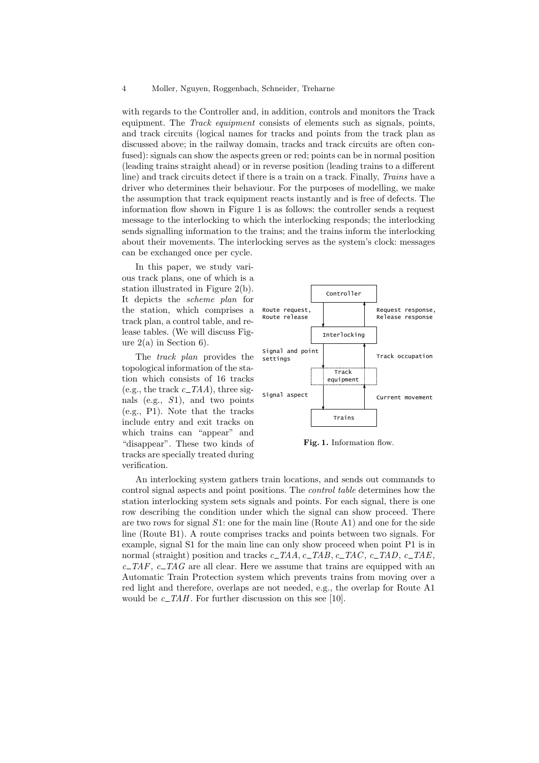with regards to the Controller and, in addition, controls and monitors the Track equipment. The Track equipment consists of elements such as signals, points, and track circuits (logical names for tracks and points from the track plan as discussed above; in the railway domain, tracks and track circuits are often confused): signals can show the aspects green or red; points can be in normal position (leading trains straight ahead) or in reverse position (leading trains to a different line) and track circuits detect if there is a train on a track. Finally, Trains have a driver who determines their behaviour. For the purposes of modelling, we make the assumption that track equipment reacts instantly and is free of defects. The information flow shown in Figure 1 is as follows: the controller sends a request message to the interlocking to which the interlocking responds; the interlocking sends signalling information to the trains; and the trains inform the interlocking about their movements. The interlocking serves as the system's clock: messages can be exchanged once per cycle.

In this paper, we study various track plans, one of which is a station illustrated in Figure 2(b). It depicts the scheme plan for the station, which comprises a track plan, a control table, and release tables. (We will discuss Figure  $2(a)$  in Section 6).

The track plan provides the topological information of the station which consists of 16 tracks (e.g., the track  $c\_TAA$ ), three signals (e.g., S1), and two points (e.g., P1). Note that the tracks include entry and exit tracks on which trains can "appear" and "disappear". These two kinds of tracks are specially treated during verification.



Fig. 1. Information flow.

An interlocking system gathers train locations, and sends out commands to control signal aspects and point positions. The control table determines how the station interlocking system sets signals and points. For each signal, there is one row describing the condition under which the signal can show proceed. There are two rows for signal  $S1$ : one for the main line (Route A1) and one for the side line (Route B1). A route comprises tracks and points between two signals. For example, signal S1 for the main line can only show proceed when point P1 is in normal (straight) position and tracks  $c\_TAA$ ,  $c\_TAB$ ,  $c\_TAC$ ,  $c\_TAD$ ,  $c\_TAE$ ,  $c_TAF$ ,  $c_TAG$  are all clear. Here we assume that trains are equipped with an Automatic Train Protection system which prevents trains from moving over a red light and therefore, overlaps are not needed, e.g., the overlap for Route A1 would be  $c_{\text{-}} TAH$ . For further discussion on this see [10].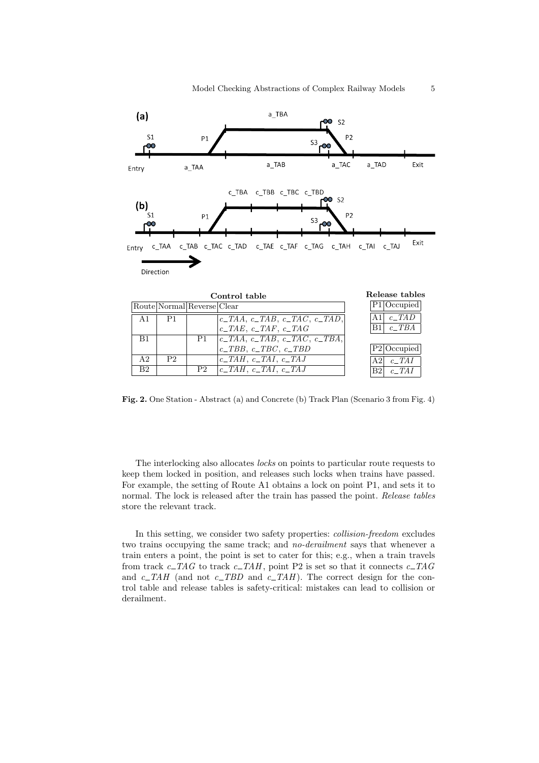

Fig. 2. One Station - Abstract (a) and Concrete (b) Track Plan (Scenario 3 from Fig. 4)

The interlocking also allocates *locks* on points to particular route requests to keep them locked in position, and releases such locks when trains have passed. For example, the setting of Route A1 obtains a lock on point P1, and sets it to normal. The lock is released after the train has passed the point. Release tables store the relevant track.

In this setting, we consider two safety properties: collision-freedom excludes two trains occupying the same track; and no-derailment says that whenever a train enters a point, the point is set to cater for this; e.g., when a train travels from track c TAG to track c TAH, point P2 is set so that it connects c TAG and  $c_T A H$  (and not  $c_T B D$  and  $c_T A H$ ). The correct design for the control table and release tables is safety-critical: mistakes can lead to collision or derailment.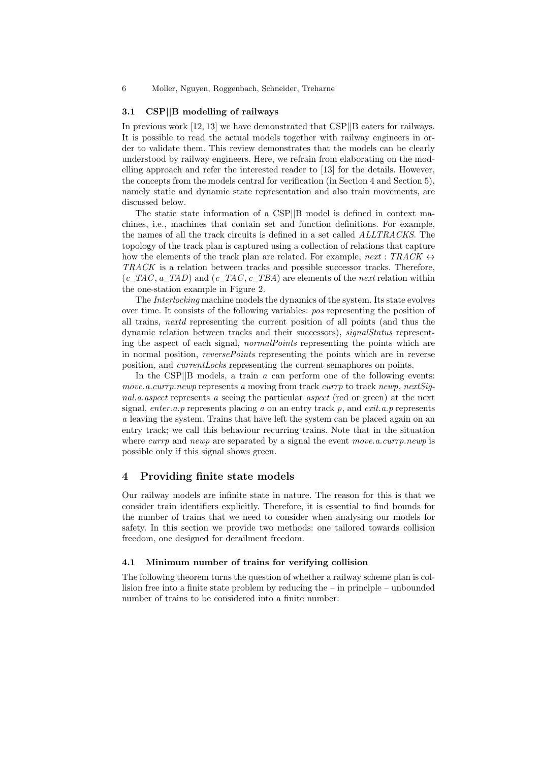#### 3.1 CSP||B modelling of railways

In previous work [12, 13] we have demonstrated that CSP||B caters for railways. It is possible to read the actual models together with railway engineers in order to validate them. This review demonstrates that the models can be clearly understood by railway engineers. Here, we refrain from elaborating on the modelling approach and refer the interested reader to [13] for the details. However, the concepts from the models central for verification (in Section 4 and Section 5), namely static and dynamic state representation and also train movements, are discussed below.

The static state information of a CSP||B model is defined in context machines, i.e., machines that contain set and function definitions. For example, the names of all the track circuits is defined in a set called ALLTRACKS. The topology of the track plan is captured using a collection of relations that capture how the elements of the track plan are related. For example, next : TRACK  $\leftrightarrow$ TRACK is a relation between tracks and possible successor tracks. Therefore,  $(c_TAC, a_TAD)$  and  $(c_TAC, c_TBA)$  are elements of the next relation within the one-station example in Figure 2.

The Interlocking machine models the dynamics of the system. Its state evolves over time. It consists of the following variables: pos representing the position of all trains, nextd representing the current position of all points (and thus the dynamic relation between tracks and their successors), signalStatus representing the aspect of each signal, *normalPoints* representing the points which are in normal position, reversePoints representing the points which are in reverse position, and currentLocks representing the current semaphores on points.

In the CSP||B models, a train  $\alpha$  can perform one of the following events: move.a.currp.newp represents a moving from track currp to track newp, nextSiqnal.a.aspect represents a seeing the particular aspect (red or green) at the next signal, enter.a.p represents placing a on an entry track p, and exit.a.p represents a leaving the system. Trains that have left the system can be placed again on an entry track; we call this behaviour recurring trains. Note that in the situation where *currp* and *newp* are separated by a signal the event *move.a.currp.newp* is possible only if this signal shows green.

# 4 Providing finite state models

Our railway models are infinite state in nature. The reason for this is that we consider train identifiers explicitly. Therefore, it is essential to find bounds for the number of trains that we need to consider when analysing our models for safety. In this section we provide two methods: one tailored towards collision freedom, one designed for derailment freedom.

## 4.1 Minimum number of trains for verifying collision

The following theorem turns the question of whether a railway scheme plan is collision free into a finite state problem by reducing the – in principle – unbounded number of trains to be considered into a finite number: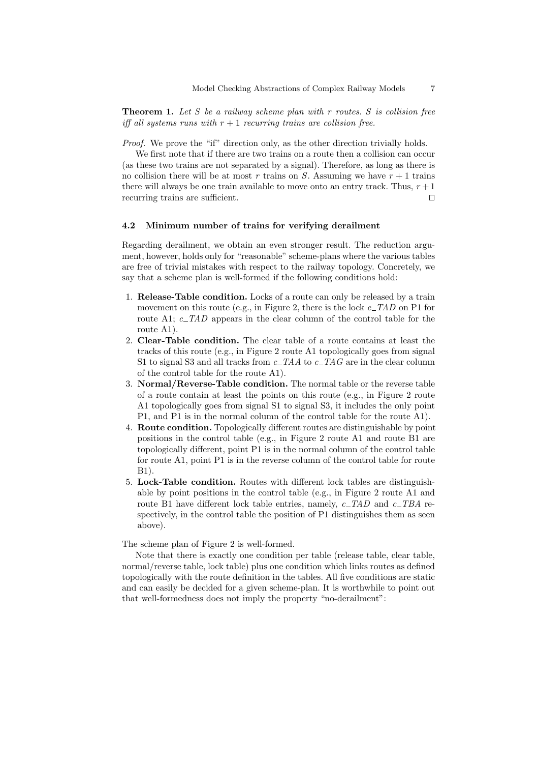**Theorem 1.** Let S be a railway scheme plan with r routes. S is collision free iff all systems runs with  $r + 1$  recurring trains are collision free.

Proof. We prove the "if" direction only, as the other direction trivially holds.

We first note that if there are two trains on a route then a collision can occur (as these two trains are not separated by a signal). Therefore, as long as there is no collision there will be at most r trains on S. Assuming we have  $r + 1$  trains there will always be one train available to move onto an entry track. Thus,  $r + 1$ recurring trains are sufficient.  $\Box$ 

#### 4.2 Minimum number of trains for verifying derailment

Regarding derailment, we obtain an even stronger result. The reduction argument, however, holds only for "reasonable" scheme-plans where the various tables are free of trivial mistakes with respect to the railway topology. Concretely, we say that a scheme plan is well-formed if the following conditions hold:

- 1. Release-Table condition. Locks of a route can only be released by a train movement on this route (e.g., in Figure 2, there is the lock  $c$ -TAD on P1 for route A1;  $c_{TAD}$  appears in the clear column of the control table for the route A1).
- 2. Clear-Table condition. The clear table of a route contains at least the tracks of this route (e.g., in Figure 2 route A1 topologically goes from signal S1 to signal S3 and all tracks from  $c_{T}A$  to  $c_{T}A$  are in the clear column of the control table for the route A1).
- 3. Normal/Reverse-Table condition. The normal table or the reverse table of a route contain at least the points on this route (e.g., in Figure 2 route A1 topologically goes from signal S1 to signal S3, it includes the only point P1, and P1 is in the normal column of the control table for the route A1).
- 4. Route condition. Topologically different routes are distinguishable by point positions in the control table (e.g., in Figure 2 route A1 and route B1 are topologically different, point P1 is in the normal column of the control table for route A1, point P1 is in the reverse column of the control table for route B1).
- 5. Lock-Table condition. Routes with different lock tables are distinguishable by point positions in the control table (e.g., in Figure 2 route A1 and route B1 have different lock table entries, namely,  $c_{TAD}$  and  $c_{TBA}$  respectively, in the control table the position of P1 distinguishes them as seen above).

The scheme plan of Figure 2 is well-formed.

Note that there is exactly one condition per table (release table, clear table, normal/reverse table, lock table) plus one condition which links routes as defined topologically with the route definition in the tables. All five conditions are static and can easily be decided for a given scheme-plan. It is worthwhile to point out that well-formedness does not imply the property "no-derailment":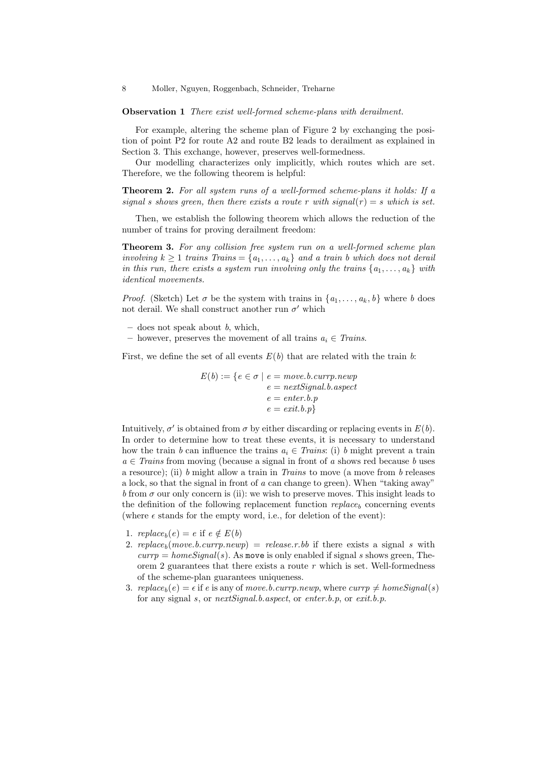Observation 1 There exist well-formed scheme-plans with derailment.

For example, altering the scheme plan of Figure 2 by exchanging the position of point P2 for route A2 and route B2 leads to derailment as explained in Section 3. This exchange, however, preserves well-formedness.

Our modelling characterizes only implicitly, which routes which are set. Therefore, we the following theorem is helpful:

Theorem 2. For all system runs of a well-formed scheme-plans it holds: If a signal s shows green, then there exists a route r with signal(r) = s which is set.

Then, we establish the following theorem which allows the reduction of the number of trains for proving derailment freedom:

Theorem 3. For any collision free system run on a well-formed scheme plan involving  $k \geq 1$  trains  $Trains = \{a_1, \ldots, a_k\}$  and a train b which does not derail in this run, there exists a system run involving only the trains  $\{a_1, \ldots, a_k\}$  with identical movements.

*Proof.* (Sketch) Let  $\sigma$  be the system with trains in  $\{a_1, \ldots, a_k, b\}$  where b does not derail. We shall construct another run  $\sigma'$  which

- $-$  does not speak about b, which,
- however, preserves the movement of all trains  $a_i \in \text{Trains}$ .

First, we define the set of all events  $E(b)$  that are related with the train b:

 $E(b) := \{e \in \sigma \mid e = move.b.currp.newp\}$  $e = nextSignal.b. aspect$  $e = enter.b.p$  $e = exit.b.p$ 

Intuitively,  $\sigma'$  is obtained from  $\sigma$  by either discarding or replacing events in  $E(b)$ . In order to determine how to treat these events, it is necessary to understand how the train b can influence the trains  $a_i \in \text{Trans: (i)}$  b might prevent a train  $a \in \text{Trains}$  from moving (because a signal in front of a shows red because b uses a resource); (ii) b might allow a train in *Trains* to move (a move from b releases a lock, so that the signal in front of  $a$  can change to green). When "taking away" b from  $\sigma$  our only concern is (ii): we wish to preserve moves. This insight leads to the definition of the following replacement function  $replace_b$  concerning events (where  $\epsilon$  stands for the empty word, i.e., for deletion of the event):

- 1.  $replace_b(e) = e$  if  $e \notin E(b)$
- 2. replace<sub>b</sub>(move.b.currp.newp) = release.r.bb if there exists a signal s with  $currp = homeSignal(s)$ . As move is only enabled if signal s shows green, Theorem 2 guarantees that there exists a route  $r$  which is set. Well-formedness of the scheme-plan guarantees uniqueness.
- 3. replace<sub>b</sub>(e) =  $\epsilon$  if e is any of move.b.currp.newp, where currp  $\neq$  homeSignal(s) for any signal s, or *nextSignal.b.aspect*, or *enter.b.p*, or *exit.b.p.*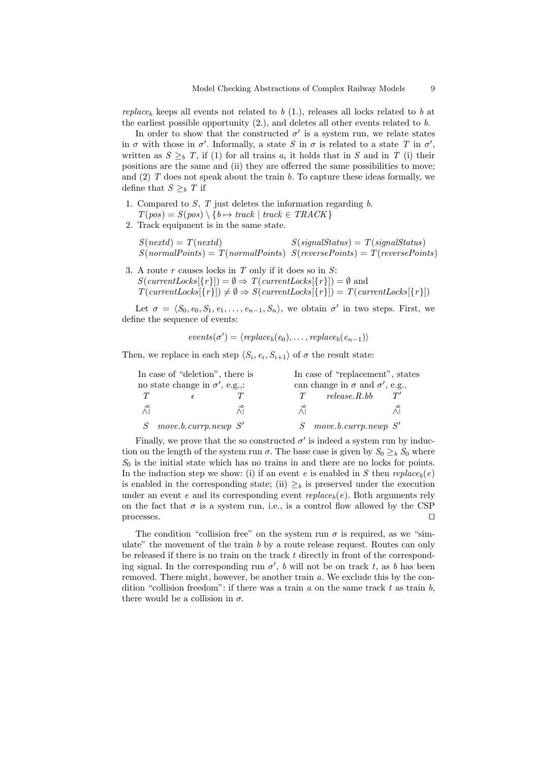replace<sub>b</sub> keeps all events not related to b (1.), releases all locks related to b at the earliest possible opportunity  $(2)$ , and deletes all other events related to b.

In order to show that the constructed  $\sigma'$  is a system run, we relate states in  $\sigma$  with those in  $\sigma'$ . Informally, a state S in  $\sigma$  is related to a state T in  $\sigma'$ , written as  $S \geq_b T$ , if (1) for all trains  $a_i$  it holds that in S and in T (i) their positions are the same and (ii) they are offerred the same possibilities to move; and  $(2)$  T does not speak about the train b. To capture these ideas formally, we define that  $S \geq_b T$  if

- 1. Compared to  $S$ ,  $T$  just deletes the information regarding  $b$ .  $T(pos) = S(pos) \setminus \{b \mapsto track \mid track \in TRACK\}$
- 2. Track equipment is in the same state.

 $S(nextd) = T(nextd)$   $S(signalStatus) = T(signalStatus)$  $S(normalPoints) = T(normalPoints)$   $S(reversePoints) = T(reversePoints)$ 

3. A route  $r$  causes locks in  $T$  only if it does so in  $S$ :  $S(currentLocks[\lbrace r \rbrace]) = \emptyset \Rightarrow T(currentLocks[\lbrace r \rbrace]) = \emptyset$  and  $T(currentLocks[\lbrace r \rbrace]) \neq \emptyset \Rightarrow S(currentLocks[\lbrace r \rbrace]) = T(currentLocks[\lbrace r \rbrace])$ 

Let  $\sigma = \langle S_0, e_0, S_1, e_1, \ldots, e_{n-1}, S_n \rangle$ , we obtain  $\sigma'$  in two steps. First, we define the sequence of events:

$$
events(\sigma') = \langle replace_b(e_0), \dots, replace_b(e_{n-1}) \rangle
$$

Then, we replace in each step  $\langle S_i, e_i, S_{i+1} \rangle$  of  $\sigma$  the result state:

| In case of "deletion", there is       |                      |  |  | In case of "replacement", states             |  |  |  |
|---------------------------------------|----------------------|--|--|----------------------------------------------|--|--|--|
| no state change in $\sigma'$ , e.g.,: |                      |  |  | can change in $\sigma$ and $\sigma'$ , e.g., |  |  |  |
|                                       |                      |  |  | release.R.bb                                 |  |  |  |
| $\tilde{h}$                           |                      |  |  |                                              |  |  |  |
| S                                     | move.b.currp.newp S' |  |  | $S$ move.b.currp.newp $S'$                   |  |  |  |

Finally, we prove that the so constructed  $\sigma'$  is indeed a system run by induction on the length of the system run  $\sigma$ . The base case is given by  $S_0 > b S_0$  where  $S_0$  is the initial state which has no trains in and there are no locks for points. In the induction step we show: (i) if an event e is enabled in S then  $replace_b(e)$ is enabled in the corresponding state; (ii)  $\geq_b$  is preserved under the execution under an event e and its corresponding event  $replace_b(e)$ . Both arguments rely on the fact that  $\sigma$  is a system run, i.e., is a control flow allowed by the CSP processes.  $\Box$ 

The condition "collision free" on the system run  $\sigma$  is required, as we "simulate" the movement of the train  $b$  by a route release request. Routes can only be released if there is no train on the track  $t$  directly in front of the corresponding signal. In the corresponding run  $\sigma'$ , b will not be on track t, as b has been removed. There might, however, be another train a. We exclude this by the condition "collision freedom": if there was a train  $a$  on the same track  $t$  as train  $b$ , there would be a collision in  $\sigma$ .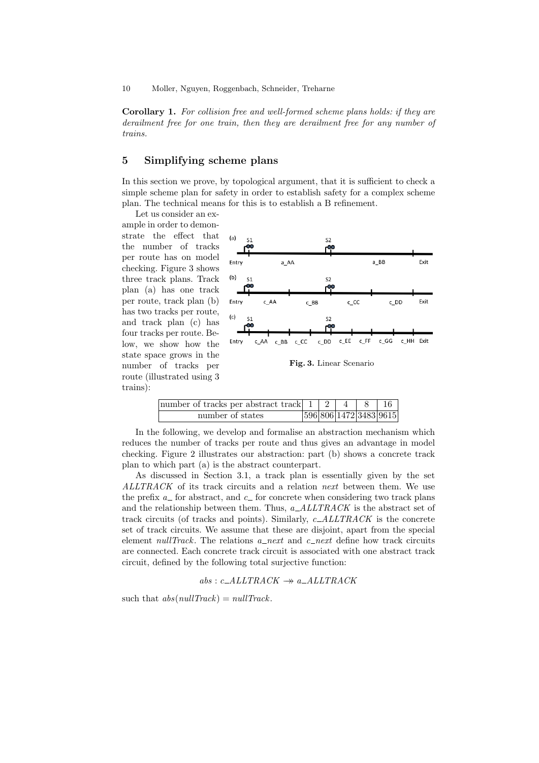Corollary 1. For collision free and well-formed scheme plans holds: if they are derailment free for one train, then they are derailment free for any number of trains.

# 5 Simplifying scheme plans

In this section we prove, by topological argument, that it is sufficient to check a simple scheme plan for safety in order to establish safety for a complex scheme plan. The technical means for this is to establish a B refinement.

Let us consider an example in order to demonstrate the effect that the number of tracks per route has on model checking. Figure 3 shows three track plans. Track plan (a) has one track per route, track plan (b) has two tracks per route, and track plan (c) has four tracks per route. Below, we show how the state space grows in the number of tracks per route (illustrated using 3 trains):



| number of tracks per abstract track $\mid 1 \mid 2 \mid 4 \mid 8 \mid 16 \mid$ |  |  |                        |
|--------------------------------------------------------------------------------|--|--|------------------------|
| number of states                                                               |  |  | 596 806 1472 3483 9615 |

In the following, we develop and formalise an abstraction mechanism which reduces the number of tracks per route and thus gives an advantage in model checking. Figure 2 illustrates our abstraction: part (b) shows a concrete track plan to which part (a) is the abstract counterpart.

As discussed in Section 3.1, a track plan is essentially given by the set ALLTRACK of its track circuits and a relation next between them. We use the prefix  $a_{-}$  for abstract, and  $c_{-}$  for concrete when considering two track plans and the relationship between them. Thus,  $a\_ALLTRACK$  is the abstract set of track circuits (of tracks and points). Similarly,  $c\_ALLTRACK$  is the concrete set of track circuits. We assume that these are disjoint, apart from the special element *nullTrack*. The relations  $a$ <sub>-next</sub> and  $c$ <sub>-next</sub> define how track circuits are connected. Each concrete track circuit is associated with one abstract track circuit, defined by the following total surjective function:

 $abs: c\_ALLTRACK \rightarrow a\_ALLTRACK$ 

such that  $abs(nullTrack) = nullTrack$ .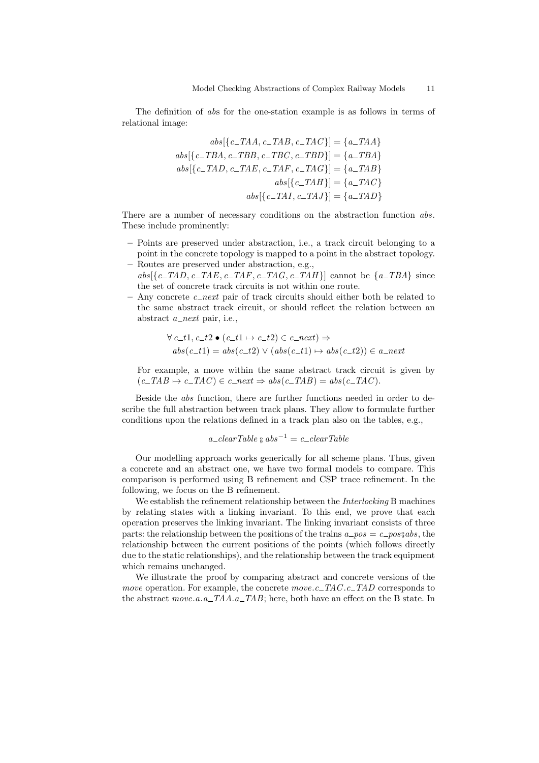The definition of abs for the one-station example is as follows in terms of relational image:

$$
abs[\{c\_TAA, c\_TAB, c\_TAC\}] = \{a\_TAA\}
$$

$$
abs[\{c\_TBA, c\_TBB, c\_TBC, c\_TBD\}] = \{a\_TBA\}
$$

$$
abs[\{c\_TAD, c\_TAE, c\_TAF, c\_TAG\}] = \{a\_TAB\}
$$

$$
abs[\{c\_TAH\}] = \{a\_TAC\}
$$

$$
abs[\{c\_TAI, c\_TAJ\}] = \{a\_TAD\}
$$

There are a number of necessary conditions on the abstraction function abs. These include prominently:

- Points are preserved under abstraction, i.e., a track circuit belonging to a point in the concrete topology is mapped to a point in the abstract topology.
- Routes are preserved under abstraction, e.g.,  $abs[{c\_TAD, c\_TAE, c\_TAF, c\_TAG, c\_TAH}]$  cannot be  ${a\_TBA}$  since the set of concrete track circuits is not within one route.
- Any concrete  $c$ <sub>next</sub> pair of track circuits should either both be related to the same abstract track circuit, or should reflect the relation between an abstract  $a$ <sub>next</sub> pair, i.e.,

$$
\forall c\_t1, c\_t2 \bullet (c\_t1 \mapsto c\_t2) \in c\_next) \Rightarrow
$$

$$
abs(c\_t1) = abs(c\_t2) \lor (abs(c\_t1) \mapsto abs(c\_t2)) \in a\_next
$$

For example, a move within the same abstract track circuit is given by  $(c\_TAB \mapsto c\_TAC) \in c\_next \Rightarrow abs(c\_TAB) = abs(c\_TAC).$ 

Beside the abs function, there are further functions needed in order to describe the full abstraction between track plans. They allow to formulate further conditions upon the relations defined in a track plan also on the tables, e.g.,

$$
a\_{clear
$$
Table  $\frac{8}{9}$   $abs^{-1} = c\_{clear$ Table

Our modelling approach works generically for all scheme plans. Thus, given a concrete and an abstract one, we have two formal models to compare. This comparison is performed using B refinement and CSP trace refinement. In the following, we focus on the B refinement.

We establish the refinement relationship between the *Interlocking* B machines by relating states with a linking invariant. To this end, we prove that each operation preserves the linking invariant. The linking invariant consists of three parts: the relationship between the positions of the trains  $a_{\text{p}}\omega = c_{\text{p}}\omega s_{\text{g}}abs$ , the relationship between the current positions of the points (which follows directly due to the static relationships), and the relationship between the track equipment which remains unchanged.

We illustrate the proof by comparing abstract and concrete versions of the move operation. For example, the concrete  $move.c\_TAC.c\_TAD$  corresponds to the abstract  $move.a.a\_TAA.a\_TAB$ ; here, both have an effect on the B state. In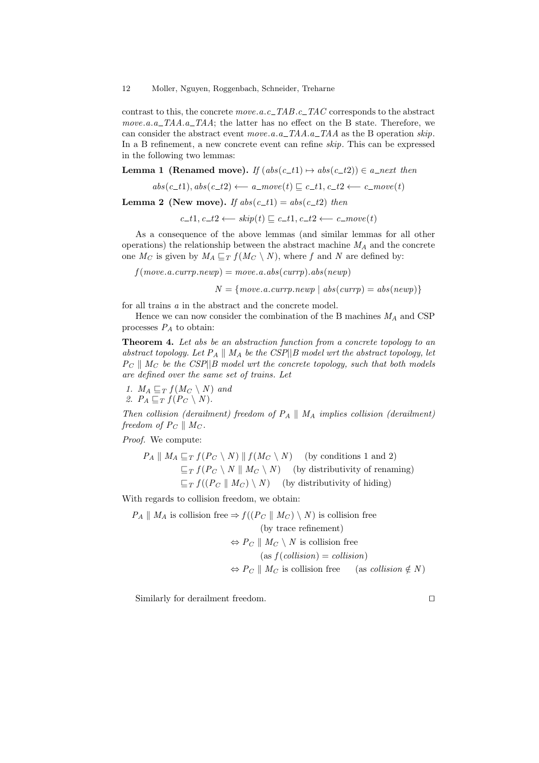contrast to this, the concrete  $move.a.c\_TAB.c\_TAC$  corresponds to the abstract move.a.a  $TAA$ .a  $TAA$ ; the latter has no effect on the B state. Therefore, we can consider the abstract event  $move.a.a\_TAA.a\_TAA$  as the B operation skip. In a B refinement, a new concrete event can refine skip. This can be expressed in the following two lemmas:

**Lemma 1 (Renamed move).** If  $(abs(c_t1) \rightarrow abs(c_t2)) \in a_n$  next then

$$
abs(c\_t1), abs(c\_t2) \longleftarrow a\_move(t) \sqsubseteq c\_t1, c\_t2 \longleftarrow c\_move(t)
$$

**Lemma 2 (New move).** If  $abs(c\_t1) = abs(c\_t2)$  then

 $c_t 1, c_t 2 \leftarrow skip(t) \sqsubseteq c_t 1, c_t 2 \leftarrow c_m ove(t)$ 

As a consequence of the above lemmas (and similar lemmas for all other operations) the relationship between the abstract machine  $M_A$  and the concrete one  $M_C$  is given by  $M_A \sqsubseteq_T f (M_C \setminus N)$ , where f and N are defined by:

 $f(move.a.currp.newp) = move.a.abs(currep).abs(newp)$ 

 $N = \{move.a.currp.newp \mid abs(curre) = abs(newp)\}$ 

for all trains a in the abstract and the concrete model.

Hence we can now consider the combination of the B machines  $M_A$  and CSP processes  $P_A$  to obtain:

Theorem 4. Let abs be an abstraction function from a concrete topology to an abstract topology. Let  $P_A \parallel M_A$  be the CSP||B model wrt the abstract topology, let  $P_C \parallel M_C$  be the CSP||B model wrt the concrete topology, such that both models are defined over the same set of trains. Let

1. 
$$
M_A \sqsubseteq_T f(M_C \setminus N)
$$
 and  
2.  $P_A \sqsubseteq_T f(P_C \setminus N)$ .

Then collision (derailment) freedom of  $P_A \parallel M_A$  implies collision (derailment) freedom of  $P_C \parallel M_C$ .

Proof. We compute:

$$
P_A \parallel M_A \sqsubseteq_T f(P_C \setminus N) \parallel f(M_C \setminus N)
$$
 (by conditions 1 and 2)  

$$
\sqsubseteq_T f(P_C \setminus N \parallel M_C \setminus N)
$$
 (by distributivity of renaming)  

$$
\sqsubseteq_T f((P_C \parallel M_C) \setminus N)
$$
 (by distributivity of hiding)

With regards to collision freedom, we obtain:

 $P_A \parallel M_A$  is collision free  $\Rightarrow f((P_C \parallel M_C) \setminus N)$  is collision free (by trace refinement)  $\Leftrightarrow$   $P_C \parallel M_C \setminus N$  is collision free  $(as f(collision) = collision)$  $\Leftrightarrow$   $P_C \parallel M_C$  is collision free (as *collision*  $\notin N$ )

Similarly for derailment freedom.  $\Box$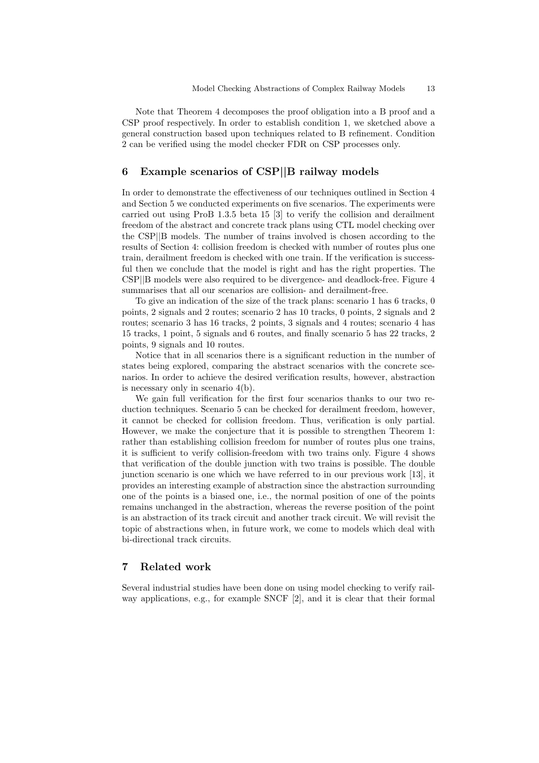Note that Theorem 4 decomposes the proof obligation into a B proof and a CSP proof respectively. In order to establish condition 1, we sketched above a general construction based upon techniques related to B refinement. Condition 2 can be verified using the model checker FDR on CSP processes only.

# 6 Example scenarios of CSP||B railway models

In order to demonstrate the effectiveness of our techniques outlined in Section 4 and Section 5 we conducted experiments on five scenarios. The experiments were carried out using ProB 1.3.5 beta 15 [3] to verify the collision and derailment freedom of the abstract and concrete track plans using CTL model checking over the CSP||B models. The number of trains involved is chosen according to the results of Section 4: collision freedom is checked with number of routes plus one train, derailment freedom is checked with one train. If the verification is successful then we conclude that the model is right and has the right properties. The CSP||B models were also required to be divergence- and deadlock-free. Figure 4 summarises that all our scenarios are collision- and derailment-free.

To give an indication of the size of the track plans: scenario 1 has 6 tracks, 0 points, 2 signals and 2 routes; scenario 2 has 10 tracks, 0 points, 2 signals and 2 routes; scenario 3 has 16 tracks, 2 points, 3 signals and 4 routes; scenario 4 has 15 tracks, 1 point, 5 signals and 6 routes, and finally scenario 5 has 22 tracks, 2 points, 9 signals and 10 routes.

Notice that in all scenarios there is a significant reduction in the number of states being explored, comparing the abstract scenarios with the concrete scenarios. In order to achieve the desired verification results, however, abstraction is necessary only in scenario 4(b).

We gain full verification for the first four scenarios thanks to our two reduction techniques. Scenario 5 can be checked for derailment freedom, however, it cannot be checked for collision freedom. Thus, verification is only partial. However, we make the conjecture that it is possible to strengthen Theorem 1: rather than establishing collision freedom for number of routes plus one trains, it is sufficient to verify collision-freedom with two trains only. Figure 4 shows that verification of the double junction with two trains is possible. The double junction scenario is one which we have referred to in our previous work [13], it provides an interesting example of abstraction since the abstraction surrounding one of the points is a biased one, i.e., the normal position of one of the points remains unchanged in the abstraction, whereas the reverse position of the point is an abstraction of its track circuit and another track circuit. We will revisit the topic of abstractions when, in future work, we come to models which deal with bi-directional track circuits.

## 7 Related work

Several industrial studies have been done on using model checking to verify railway applications, e.g., for example SNCF [2], and it is clear that their formal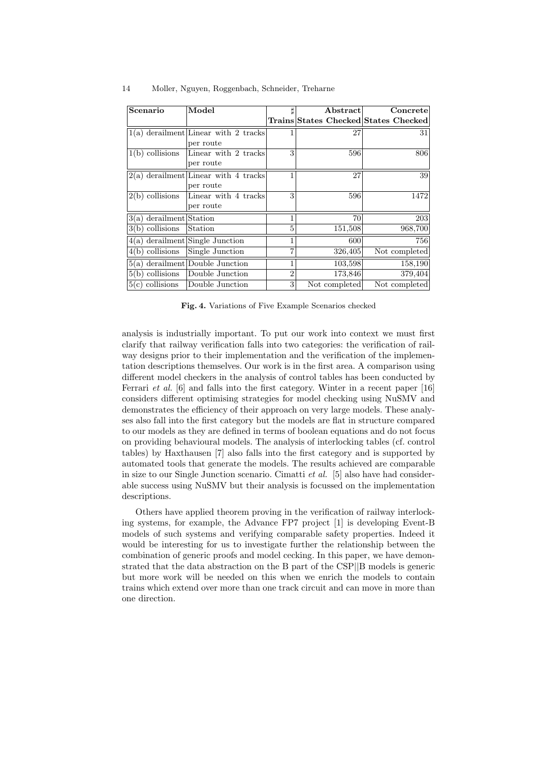| Scenario                  | Model                                  | ij             | $\bf Abstract$ | Concrete                             |
|---------------------------|----------------------------------------|----------------|----------------|--------------------------------------|
|                           |                                        |                |                | Trains States Checked States Checked |
|                           | $1(a)$ derailment Linear with 2 tracks |                |                | 27<br>31                             |
|                           | per route                              |                |                |                                      |
| $1(b)$ collisions         | Linear with 2 tracks                   | 3              | 596            | 806                                  |
|                           | per route                              |                |                |                                      |
|                           | $2(a)$ derailment Linear with 4 tracks |                |                | 39<br>27                             |
|                           | per route                              |                |                |                                      |
| $2(b)$ collisions         | Linear with 4 tracks                   | 3              | 596            | 1472                                 |
|                           | per route                              |                |                |                                      |
| $3(a)$ derailment Station |                                        | 1              |                | 203<br>70                            |
| $3(b)$ collisions         | Station                                | 5              | 151,508        | 968,700                              |
| 4(a)                      | derailment Single Junction             | 1              | 600            | 756                                  |
| $4(b)$ collisions         | Single Junction                        | 7              | 326,405        | Not completed                        |
|                           | $5(a)$ derailment Double Junction      | 1              | 103,598        | 158,190                              |
| $5(b)$ collisions         | Double Junction                        | $\overline{2}$ | 173,846        | 379,404                              |
| collisions<br>5(c)        | Double Junction                        | 3              | Not completed  | Not completed                        |

Fig. 4. Variations of Five Example Scenarios checked

analysis is industrially important. To put our work into context we must first clarify that railway verification falls into two categories: the verification of railway designs prior to their implementation and the verification of the implementation descriptions themselves. Our work is in the first area. A comparison using different model checkers in the analysis of control tables has been conducted by Ferrari *et al.* [6] and falls into the first category. Winter in a recent paper [16] considers different optimising strategies for model checking using NuSMV and demonstrates the efficiency of their approach on very large models. These analyses also fall into the first category but the models are flat in structure compared to our models as they are defined in terms of boolean equations and do not focus on providing behavioural models. The analysis of interlocking tables (cf. control tables) by Haxthausen [7] also falls into the first category and is supported by automated tools that generate the models. The results achieved are comparable in size to our Single Junction scenario. Cimatti et al. [5] also have had considerable success using NuSMV but their analysis is focussed on the implementation descriptions.

Others have applied theorem proving in the verification of railway interlocking systems, for example, the Advance FP7 project [1] is developing Event-B models of such systems and verifying comparable safety properties. Indeed it would be interesting for us to investigate further the relationship between the combination of generic proofs and model cecking. In this paper, we have demonstrated that the data abstraction on the B part of the CSP||B models is generic but more work will be needed on this when we enrich the models to contain trains which extend over more than one track circuit and can move in more than one direction.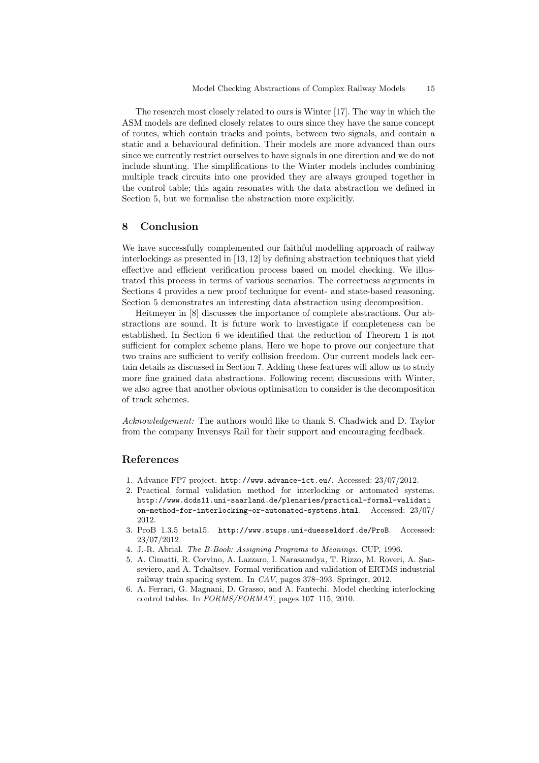The research most closely related to ours is Winter [17]. The way in which the ASM models are defined closely relates to ours since they have the same concept of routes, which contain tracks and points, between two signals, and contain a static and a behavioural definition. Their models are more advanced than ours since we currently restrict ourselves to have signals in one direction and we do not include shunting. The simplifications to the Winter models includes combining multiple track circuits into one provided they are always grouped together in the control table; this again resonates with the data abstraction we defined in Section 5, but we formalise the abstraction more explicitly.

# 8 Conclusion

We have successfully complemented our faithful modelling approach of railway interlockings as presented in [13, 12] by defining abstraction techniques that yield effective and efficient verification process based on model checking. We illustrated this process in terms of various scenarios. The correctness arguments in Sections 4 provides a new proof technique for event- and state-based reasoning. Section 5 demonstrates an interesting data abstraction using decomposition.

Heitmeyer in [8] discusses the importance of complete abstractions. Our abstractions are sound. It is future work to investigate if completeness can be established. In Section 6 we identified that the reduction of Theorem 1 is not sufficient for complex scheme plans. Here we hope to prove our conjecture that two trains are sufficient to verify collision freedom. Our current models lack certain details as discussed in Section 7. Adding these features will allow us to study more fine grained data abstractions. Following recent discussions with Winter, we also agree that another obvious optimisation to consider is the decomposition of track schemes.

Acknowledgement: The authors would like to thank S. Chadwick and D. Taylor from the company Invensys Rail for their support and encouraging feedback.

# References

- 1. Advance FP7 project. http://www.advance-ict.eu/. Accessed: 23/07/2012.
- 2. Practical formal validation method for interlocking or automated systems. http://www.dcds11.uni-saarland.de/plenaries/practical-formal-validati on-method-for-interlocking-or-automated-systems.html. Accessed: 23/07/ 2012.
- 3. ProB 1.3.5 beta15. http://www.stups.uni-duesseldorf.de/ProB. Accessed: 23/07/2012.
- 4. J.-R. Abrial. The B-Book: Assigning Programs to Meanings. CUP, 1996.
- 5. A. Cimatti, R. Corvino, A. Lazzaro, I. Narasamdya, T. Rizzo, M. Roveri, A. Sanseviero, and A. Tchaltsev. Formal verification and validation of ERTMS industrial railway train spacing system. In CAV, pages 378–393. Springer, 2012.
- 6. A. Ferrari, G. Magnani, D. Grasso, and A. Fantechi. Model checking interlocking control tables. In FORMS/FORMAT, pages 107–115, 2010.